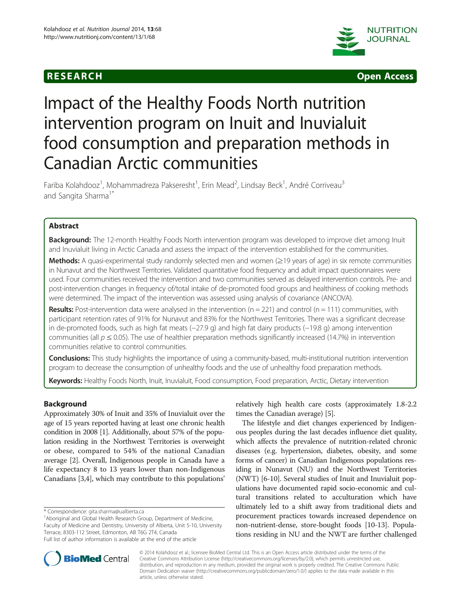



# Impact of the Healthy Foods North nutrition intervention program on Inuit and Inuvialuit food consumption and preparation methods in Canadian Arctic communities

Fariba Kolahdooz<sup>1</sup>, Mohammadreza Pakseresht<sup>1</sup>, Erin Mead<sup>2</sup>, Lindsay Beck<sup>1</sup>, André Corriveau<sup>3</sup> and Sangita Sharma<sup>1\*</sup>

# Abstract

Background: The 12-month Healthy Foods North intervention program was developed to improve diet among Inuit and Inuvialuit living in Arctic Canada and assess the impact of the intervention established for the communities.

Methods: A quasi-experimental study randomly selected men and women (≥19 years of age) in six remote communities in Nunavut and the Northwest Territories. Validated quantitative food frequency and adult impact questionnaires were used. Four communities received the intervention and two communities served as delayed intervention controls. Pre- and post-intervention changes in frequency of/total intake of de-promoted food groups and healthiness of cooking methods were determined. The impact of the intervention was assessed using analysis of covariance (ANCOVA).

Results: Post-intervention data were analysed in the intervention  $(n = 221)$  and control  $(n = 111)$  communities, with participant retention rates of 91% for Nunavut and 83% for the Northwest Territories. There was a significant decrease in de-promoted foods, such as high fat meats (−27.9 g) and high fat dairy products (−19.8 g) among intervention communities (all  $p \le 0.05$ ). The use of healthier preparation methods significantly increased (14.7%) in intervention communities relative to control communities.

Conclusions: This study highlights the importance of using a community-based, multi-institutional nutrition intervention program to decrease the consumption of unhealthy foods and the use of unhealthy food preparation methods.

Keywords: Healthy Foods North, Inuit, Inuvialuit, Food consumption, Food preparation, Arctic, Dietary intervention

## Background

Approximately 30% of Inuit and 35% of Inuvialuit over the age of 15 years reported having at least one chronic health condition in 2008 [\[1\]](#page-8-0). Additionally, about 57% of the population residing in the Northwest Territories is overweight or obese, compared to 54% of the national Canadian average [\[2](#page-8-0)]. Overall, Indigenous people in Canada have a life expectancy 8 to 13 years lower than non-Indigenous Canadians [\[3,4\]](#page-8-0), which may contribute to this populations'

\* Correspondence: [gita.sharma@ualberta.ca](mailto:gita.sharma@ualberta.ca) <sup>1</sup>

<sup>1</sup> Aboriginal and Global Health Research Group, Department of Medicine, Faculty of Medicine and Dentistry, University of Alberta, Unit 5-10, University Terrace, 8303-112 Street, Edmonton, AB T6G 2T4, Canada Full list of author information is available at the end of the article

relatively high health care costs (approximately 1.8-2.2 times the Canadian average) [\[5](#page-8-0)].

The lifestyle and diet changes experienced by Indigenous peoples during the last decades influence diet quality, which affects the prevalence of nutrition-related chronic diseases (e.g. hypertension, diabetes, obesity, and some forms of cancer) in Canadian Indigenous populations residing in Nunavut (NU) and the Northwest Territories (NWT) [[6](#page-8-0)-[10](#page-8-0)]. Several studies of Inuit and Inuvialuit populations have documented rapid socio-economic and cultural transitions related to acculturation which have ultimately led to a shift away from traditional diets and procurement practices towards increased dependence on non-nutrient-dense, store-bought foods [[10](#page-8-0)-[13](#page-8-0)]. Populations residing in NU and the NWT are further challenged



© 2014 Kolahdooz et al.; licensee BioMed Central Ltd. This is an Open Access article distributed under the terms of the Creative Commons Attribution License (<http://creativecommons.org/licenses/by/2.0>), which permits unrestricted use, distribution, and reproduction in any medium, provided the original work is properly credited. The Creative Commons Public Domain Dedication waiver [\(http://creativecommons.org/publicdomain/zero/1.0/\)](http://creativecommons.org/publicdomain/zero/1.0/) applies to the data made available in this article, unless otherwise stated.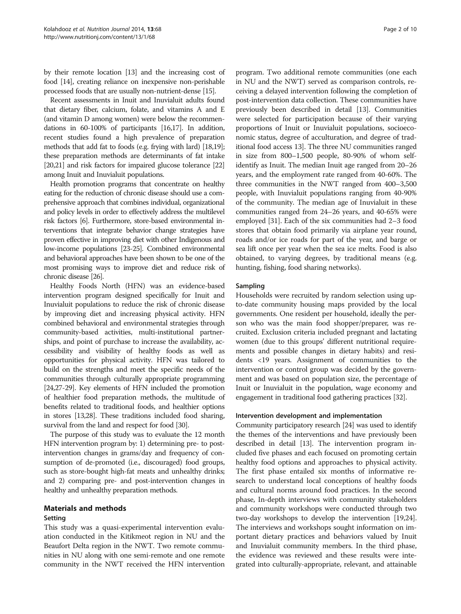by their remote location [[13](#page-8-0)] and the increasing cost of food [\[14\]](#page-8-0), creating reliance on inexpensive non-perishable processed foods that are usually non-nutrient-dense [\[15](#page-8-0)].

Recent assessments in Inuit and Inuvialuit adults found that dietary fiber, calcium, folate, and vitamins A and E (and vitamin D among women) were below the recommendations in 60-100% of participants [\[16,17\]](#page-8-0). In addition, recent studies found a high prevalence of preparation methods that add fat to foods (e.g. frying with lard) [[18,19](#page-8-0)]; these preparation methods are determinants of fat intake [[20,21\]](#page-8-0) and risk factors for impaired glucose tolerance [\[22](#page-8-0)] among Inuit and Inuvialuit populations.

Health promotion programs that concentrate on healthy eating for the reduction of chronic disease should use a comprehensive approach that combines individual, organizational and policy levels in order to effectively address the multilevel risk factors [\[6\]](#page-8-0). Furthermore, store-based environmental interventions that integrate behavior change strategies have proven effective in improving diet with other Indigenous and low-income populations [\[23-25\]](#page-9-0). Combined environmental and behavioral approaches have been shown to be one of the most promising ways to improve diet and reduce risk of chronic disease [\[26](#page-9-0)].

Healthy Foods North (HFN) was an evidence-based intervention program designed specifically for Inuit and Inuvialuit populations to reduce the risk of chronic disease by improving diet and increasing physical activity. HFN combined behavioral and environmental strategies through community-based activities, multi-institutional partnerships, and point of purchase to increase the availability, accessibility and visibility of healthy foods as well as opportunities for physical activity. HFN was tailored to build on the strengths and meet the specific needs of the communities through culturally appropriate programming [[24,27-29](#page-9-0)]. Key elements of HFN included the promotion of healthier food preparation methods, the multitude of benefits related to traditional foods, and healthier options in stores [\[13,](#page-8-0)[28](#page-9-0)]. These traditions included food sharing, survival from the land and respect for food [\[30](#page-9-0)].

The purpose of this study was to evaluate the 12 month HFN intervention program by: 1) determining pre- to postintervention changes in grams/day and frequency of consumption of de-promoted (i.e., discouraged) food groups, such as store-bought high-fat meats and unhealthy drinks; and 2) comparing pre- and post-intervention changes in healthy and unhealthy preparation methods.

### Materials and methods Setting

This study was a quasi-experimental intervention evaluation conducted in the Kitikmeot region in NU and the Beaufort Delta region in the NWT. Two remote communities in NU along with one semi-remote and one remote community in the NWT received the HFN intervention

program. Two additional remote communities (one each in NU and the NWT) served as comparison controls, receiving a delayed intervention following the completion of post-intervention data collection. These communities have previously been described in detail [[13](#page-8-0)]. Communities were selected for participation because of their varying proportions of Inuit or Inuvialuit populations, socioeconomic status, degree of acculturation, and degree of traditional food access 13]. The three NU communities ranged in size from 800–1,500 people, 80-90% of whom selfidentify as Inuit. The median Inuit age ranged from 20–26 years, and the employment rate ranged from 40-60%. The three communities in the NWT ranged from 400–3,500 people, with Inuvialuit populations ranging from 40-90% of the community. The median age of Inuvialuit in these communities ranged from 24–26 years, and 40-65% were employed [\[31](#page-9-0)]. Each of the six communities had 2–3 food stores that obtain food primarily via airplane year round, roads and/or ice roads for part of the year, and barge or sea lift once per year when the sea ice melts. Food is also obtained, to varying degrees, by traditional means (e.g. hunting, fishing, food sharing networks).

#### Sampling

Households were recruited by random selection using upto-date community housing maps provided by the local governments. One resident per household, ideally the person who was the main food shopper/preparer, was recruited. Exclusion criteria included pregnant and lactating women (due to this groups' different nutritional requirements and possible changes in dietary habits) and residents <19 years. Assignment of communities to the intervention or control group was decided by the government and was based on population size, the percentage of Inuit or Inuvialuit in the population, wage economy and engagement in traditional food gathering practices [\[32\]](#page-9-0).

#### Intervention development and implementation

Community participatory research [\[24\]](#page-9-0) was used to identify the themes of the interventions and have previously been described in detail [[13](#page-8-0)]. The intervention program included five phases and each focused on promoting certain healthy food options and approaches to physical activity. The first phase entailed six months of informative research to understand local conceptions of healthy foods and cultural norms around food practices. In the second phase, In-depth interviews with community stakeholders and community workshops were conducted through two two-day workshops to develop the intervention [\[19,](#page-8-0)[24](#page-9-0)]. The interviews and workshops sought information on important dietary practices and behaviors valued by Inuit and Inuvialuit community members. In the third phase, the evidence was reviewed and these results were integrated into culturally-appropriate, relevant, and attainable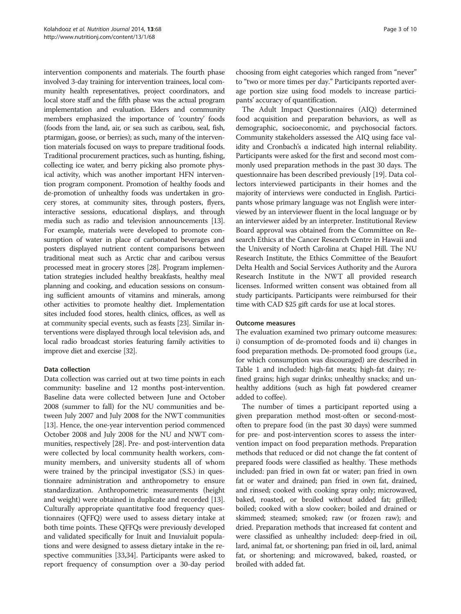intervention components and materials. The fourth phase involved 3-day training for intervention trainees, local community health representatives, project coordinators, and local store staff and the fifth phase was the actual program implementation and evaluation. Elders and community members emphasized the importance of 'country' foods (foods from the land, air, or sea such as caribou, seal, fish, ptarmigan, goose, or berries); as such, many of the intervention materials focused on ways to prepare traditional foods. Traditional procurement practices, such as hunting, fishing, collecting ice water, and berry picking also promote physical activity, which was another important HFN intervention program component. Promotion of healthy foods and de-promotion of unhealthy foods was undertaken in grocery stores, at community sites, through posters, flyers, interactive sessions, educational displays, and through media such as radio and television announcements [\[13](#page-8-0)]. For example, materials were developed to promote consumption of water in place of carbonated beverages and posters displayed nutrient content comparisons between traditional meat such as Arctic char and caribou versus processed meat in grocery stores [[28](#page-9-0)]. Program implementation strategies included healthy breakfasts, healthy meal planning and cooking, and education sessions on consuming sufficient amounts of vitamins and minerals, among other activities to promote healthy diet. Implementation sites included food stores, health clinics, offices, as well as at community special events, such as feasts [[23](#page-9-0)]. Similar interventions were displayed through local television ads, and local radio broadcast stories featuring family activities to improve diet and exercise [\[32\]](#page-9-0).

### Data collection

Data collection was carried out at two time points in each community: baseline and 12 months post-intervention. Baseline data were collected between June and October 2008 (summer to fall) for the NU communities and between July 2007 and July 2008 for the NWT communities [[13](#page-8-0)]. Hence, the one-year intervention period commenced October 2008 and July 2008 for the NU and NWT communities, respectively [\[28\]](#page-9-0). Pre- and post-intervention data were collected by local community health workers, community members, and university students all of whom were trained by the principal investigator (S.S.) in questionnaire administration and anthropometry to ensure standardization. Anthropometric measurements (height and weight) were obtained in duplicate and recorded [[13](#page-8-0)]. Culturally appropriate quantitative food frequency questionnaires (QFFQ) were used to assess dietary intake at both time points. These QFFQs were previously developed and validated specifically for Inuit and Inuvialuit populations and were designed to assess dietary intake in the respective communities [[33,34\]](#page-9-0). Participants were asked to report frequency of consumption over a 30-day period choosing from eight categories which ranged from "never" to "two or more times per day." Participants reported average portion size using food models to increase participants' accuracy of quantification.

The Adult Impact Questionnaires (AIQ) determined food acquisition and preparation behaviors, as well as demographic, socioeconomic, and psychosocial factors. Community stakeholders assessed the AIQ using face validity and Cronbach's  $\alpha$  indicated high internal reliability. Participants were asked for the first and second most commonly used preparation methods in the past 30 days. The questionnaire has been described previously [[19](#page-8-0)]. Data collectors interviewed participants in their homes and the majority of interviews were conducted in English. Participants whose primary language was not English were interviewed by an interviewer fluent in the local language or by an interviewer aided by an interpreter. Institutional Review Board approval was obtained from the Committee on Research Ethics at the Cancer Research Centre in Hawaii and the University of North Carolina at Chapel Hill. The NU Research Institute, the Ethics Committee of the Beaufort Delta Health and Social Services Authority and the Aurora Research Institute in the NWT all provided research licenses. Informed written consent was obtained from all study participants. Participants were reimbursed for their time with CAD \$25 gift cards for use at local stores.

### Outcome measures

The evaluation examined two primary outcome measures: i) consumption of de-promoted foods and ii) changes in food preparation methods. De-promoted food groups (i.e., for which consumption was discouraged) are described in Table [1](#page-3-0) and included: high-fat meats; high-fat dairy; refined grains; high sugar drinks; unhealthy snacks; and unhealthy additions (such as high fat powdered creamer added to coffee).

The number of times a participant reported using a given preparation method most-often or second-mostoften to prepare food (in the past 30 days) were summed for pre- and post-intervention scores to assess the intervention impact on food preparation methods. Preparation methods that reduced or did not change the fat content of prepared foods were classified as healthy. These methods included: pan fried in own fat or water; pan fried in own fat or water and drained; pan fried in own fat, drained, and rinsed; cooked with cooking spray only; microwaved, baked, roasted, or broiled without added fat; grilled; boiled; cooked with a slow cooker; boiled and drained or skimmed; steamed; smoked; raw (or frozen raw); and dried. Preparation methods that increased fat content and were classified as unhealthy included: deep-fried in oil, lard, animal fat, or shortening; pan fried in oil, lard, animal fat, or shortening; and microwaved, baked, roasted, or broiled with added fat.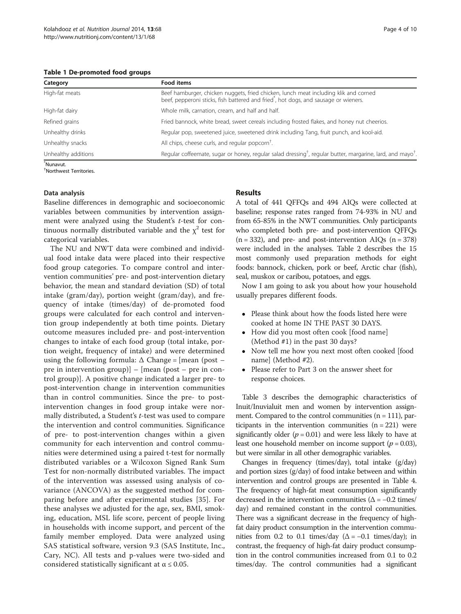<span id="page-3-0"></span>

| Category            | Food items                                                                                                                                                                               |
|---------------------|------------------------------------------------------------------------------------------------------------------------------------------------------------------------------------------|
| High-fat meats      | Beef hamburger, chicken nuggets, fried chicken, lunch meat including klik and corned<br>beef, pepperoni sticks, fish battered and fried <sup>*</sup> , hot dogs, and sausage or wieners. |
| High-fat dairy      | Whole milk, carnation, cream, and half and half.                                                                                                                                         |
| Refined grains      | Fried bannock, white bread, sweet cereals including frosted flakes, and honey nut cheerios.                                                                                              |
| Unhealthy drinks    | Regular pop, sweetened juice, sweetened drink including Tang, fruit punch, and kool-aid.                                                                                                 |
| Unhealthy snacks    | All chips, cheese curls, and regular popcorn <sup>†</sup> .                                                                                                                              |
| Unhealthy additions | Regular coffeemate, sugar or honey, regular salad dressing <sup>†</sup> , regular butter, margarine, lard, and mayo <sup>†</sup> .                                                       |

\* Nunavut. † Northwest Territories.

# Data analysis

Baseline differences in demographic and socioeconomic variables between communities by intervention assignment were analyzed using the Student's t-test for continuous normally distributed variable and the  $\chi^2$  test for categorical variables.

The NU and NWT data were combined and individual food intake data were placed into their respective food group categories. To compare control and intervention communities' pre- and post-intervention dietary behavior, the mean and standard deviation (SD) of total intake (gram/day), portion weight (gram/day), and frequency of intake (times/day) of de-promoted food groups were calculated for each control and intervention group independently at both time points. Dietary outcome measures included pre- and post-intervention changes to intake of each food group (total intake, portion weight, frequency of intake) and were determined using the following formula:  $\Delta$  Change = [mean (post – pre in intervention group)] – [mean (post – pre in control group)]. A positive change indicated a larger pre- to post-intervention change in intervention communities than in control communities. Since the pre- to postintervention changes in food group intake were normally distributed, a Student's t-test was used to compare the intervention and control communities. Significance of pre- to post-intervention changes within a given community for each intervention and control communities were determined using a paired t-test for normally distributed variables or a Wilcoxon Signed Rank Sum Test for non-normally distributed variables. The impact of the intervention was assessed using analysis of covariance (ANCOVA) as the suggested method for comparing before and after experimental studies [[35\]](#page-9-0). For these analyses we adjusted for the age, sex, BMI, smoking, education, MSL life score, percent of people living in households with income support, and percent of the family member employed. Data were analyzed using SAS statistical software, version 9.3 (SAS Institute, Inc., Cary, NC). All tests and p-values were two-sided and considered statistically significant at  $\alpha \leq 0.05$ .

#### Results

A total of 441 QFFQs and 494 AIQs were collected at baseline; response rates ranged from 74-93% in NU and from 65-85% in the NWT communities. Only participants who completed both pre- and post-intervention QFFQs  $(n = 332)$ , and pre- and post-intervention AIQs  $(n = 378)$ were included in the analyses. Table [2](#page-4-0) describes the 15 most commonly used preparation methods for eight foods: bannock, chicken, pork or beef, Arctic char (fish), seal, muskox or caribou, potatoes, and eggs.

Now I am going to ask you about how your household usually prepares different foods.

- Please think about how the foods listed here were cooked at home IN THE PAST 30 DAYS.
- How did you most often cook [food name] (Method #1) in the past 30 days?
- Now tell me how you next most often cooked [food name] (Method #2).
- Please refer to Part 3 on the answer sheet for response choices.

Table [3](#page-5-0) describes the demographic characteristics of Inuit/Inuvialuit men and women by intervention assignment. Compared to the control communities  $(n = 111)$ , participants in the intervention communities  $(n = 221)$  were significantly older ( $p = 0.01$ ) and were less likely to have at least one household member on income support ( $p = 0.03$ ), but were similar in all other demographic variables.

Changes in frequency (times/day), total intake (g/day) and portion sizes (g/day) of food intake between and within intervention and control groups are presented in Table [4](#page-6-0). The frequency of high-fat meat consumption significantly decreased in the intervention communities ( $\Delta$  = -0.2 times/ day) and remained constant in the control communities. There was a significant decrease in the frequency of highfat dairy product consumption in the intervention communities from 0.2 to 0.1 times/day  $(\Delta = -0.1$  times/day); in contrast, the frequency of high-fat dairy product consumption in the control communities increased from 0.1 to 0.2 times/day. The control communities had a significant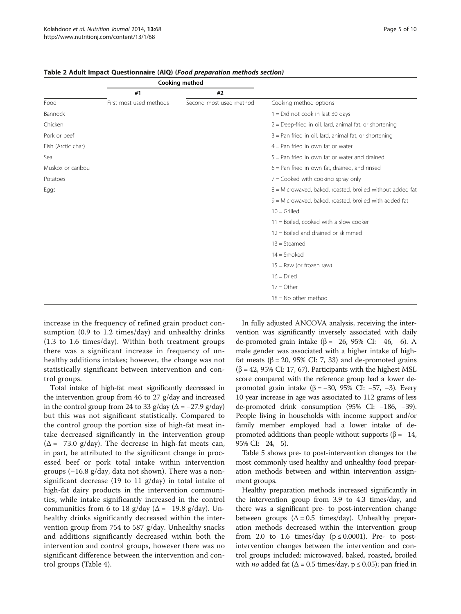|                    |                         | Cooking method          |                                                           |
|--------------------|-------------------------|-------------------------|-----------------------------------------------------------|
|                    | #1                      | #2                      |                                                           |
| Food               | First most used methods | Second most used method | Cooking method options                                    |
| Bannock            |                         |                         | $1 = Did$ not cook in last 30 days                        |
| Chicken            |                         |                         | $2 =$ Deep-fried in oil, lard, animal fat, or shortening  |
| Pork or beef       |                         |                         | $3$ = Pan fried in oil, lard, animal fat, or shortening   |
| Fish (Arctic char) |                         |                         | $4 =$ Pan fried in own fat or water                       |
| Seal               |                         |                         | $5 =$ Pan fried in own fat or water and drained           |
| Muskox or caribou  |                         |                         | $6$ = Pan fried in own fat, drained, and rinsed           |
| Potatoes           |                         |                         | 7 = Cooked with cooking spray only                        |
| Eggs               |                         |                         | 8 = Microwaved, baked, roasted, broiled without added fat |
|                    |                         |                         | 9 = Microwaved, baked, roasted, broiled with added fat    |
|                    |                         |                         | $10 =$ Grilled                                            |
|                    |                         |                         | $11 =$ Boiled, cooked with a slow cooker                  |
|                    |                         |                         | 12 = Boiled and drained or skimmed                        |
|                    |                         |                         | $13 = Steamed$                                            |
|                    |                         |                         | $14 =$ Smoked                                             |
|                    |                         |                         | $15 =$ Raw (or frozen raw)                                |
|                    |                         |                         | $16 =$ Dried                                              |
|                    |                         |                         | $17 = Other$                                              |
|                    |                         |                         | $18 = No$ other method                                    |

<span id="page-4-0"></span>Table 2 Adult Impact Questionnaire (AIQ) (Food preparation methods section)

increase in the frequency of refined grain product consumption (0.9 to 1.2 times/day) and unhealthy drinks (1.3 to 1.6 times/day). Within both treatment groups there was a significant increase in frequency of unhealthy additions intakes; however, the change was not statistically significant between intervention and control groups.

Total intake of high-fat meat significantly decreased in the intervention group from 46 to 27 g/day and increased in the control group from 24 to 33 g/day ( $\Delta$  = -27.9 g/day) but this was not significant statistically. Compared to the control group the portion size of high-fat meat intake decreased significantly in the intervention group  $(\Delta = -73.0 \text{ g/day})$ . The decrease in high-fat meats can, in part, be attributed to the significant change in processed beef or pork total intake within intervention groups (−16.8 g/day, data not shown). There was a nonsignificant decrease (19 to 11 g/day) in total intake of high-fat dairy products in the intervention communities, while intake significantly increased in the control communities from 6 to 18 g/day ( $\Delta$  = -19.8 g/day). Unhealthy drinks significantly decreased within the intervention group from 754 to 587 g/day. Unhealthy snacks and additions significantly decreased within both the intervention and control groups, however there was no significant difference between the intervention and control groups (Table [4\)](#page-6-0).

In fully adjusted ANCOVA analysis, receiving the intervention was significantly inversely associated with daily de-promoted grain intake ( $\beta$  = −26, 95% CI: −46, −6). A male gender was associated with a higher intake of highfat meats (β = 20, 95% CI: 7, 33) and de-promoted grains  $(\beta = 42, 95\% \text{ CI: } 17, 67)$ . Participants with the highest MSL score compared with the reference group had a lower depromoted grain intake (β = −30, 95% CI: −57, −3). Every 10 year increase in age was associated to 112 grams of less de-promoted drink consumption (95% CI: −186, −39). People living in households with income support and/or family member employed had a lower intake of depromoted additions than people without supports ( $β = -14$ , 95% CI: −24, −5).

Table [5](#page-7-0) shows pre- to post-intervention changes for the most commonly used healthy and unhealthy food preparation methods between and within intervention assignment groups.

Healthy preparation methods increased significantly in the intervention group from 3.9 to 4.3 times/day, and there was a significant pre- to post-intervention change between groups  $(\Delta = 0.5 \text{ times/day})$ . Unhealthy preparation methods decreased within the intervention group from 2.0 to 1.6 times/day ( $p \le 0.0001$ ). Pre- to postintervention changes between the intervention and control groups included: microwaved, baked, roasted, broiled with *no* added fat ( $\Delta$  = 0.5 times/day,  $p \le 0.05$ ); pan fried in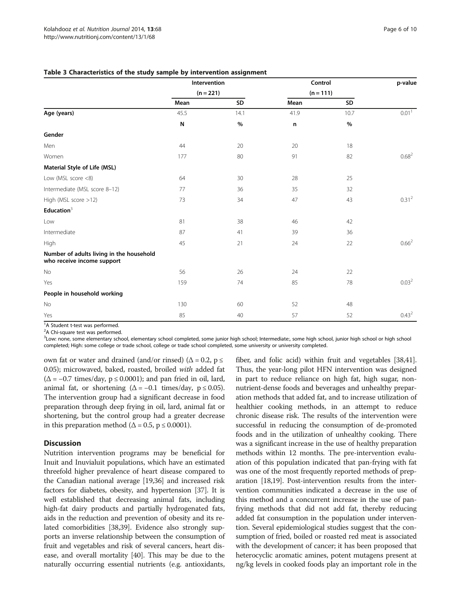|                                                                        | Intervention |      | Control     | p-value |                   |
|------------------------------------------------------------------------|--------------|------|-------------|---------|-------------------|
|                                                                        | $(n = 221)$  |      | $(n = 111)$ |         |                   |
|                                                                        | Mean         | SD   | Mean        | SD      |                   |
| Age (years)                                                            | 45.5         | 14.1 | 41.9        | 10.7    | 0.01 <sup>1</sup> |
|                                                                        | N            | $\%$ | n           | $\%$    |                   |
| Gender                                                                 |              |      |             |         |                   |
| Men                                                                    | 44           | 20   | 20          | 18      |                   |
| Women                                                                  | 177          | 80   | 91          | 82      | $0.68^{2}$        |
| Material Style of Life (MSL)                                           |              |      |             |         |                   |
| Low (MSL score <8)                                                     | 64           | 30   | 28          | 25      |                   |
| Intermediate (MSL score 8-12)                                          | 77           | 36   | 35          | 32      |                   |
| High (MSL score >12)                                                   | 73           | 34   | 47          | 43      | 0.31 <sup>2</sup> |
| Education $3$                                                          |              |      |             |         |                   |
| Low                                                                    | 81           | 38   | 46          | 42      |                   |
| Intermediate                                                           | 87           | 41   | 39          | 36      |                   |
| High                                                                   | 45           | 21   | 24          | 22      | $0.66^{2}$        |
| Number of adults living in the household<br>who receive income support |              |      |             |         |                   |
| No                                                                     | 56           | 26   | 24          | 22      |                   |
| Yes                                                                    | 159          | 74   | 85          | 78      | 0.03 <sup>2</sup> |
| People in household working                                            |              |      |             |         |                   |
| No                                                                     | 130          | 60   | 52          | 48      |                   |
| Yes                                                                    | 85           | 40   | 57          | 52      | $0.43^{2}$        |

#### <span id="page-5-0"></span>Table 3 Characteristics of the study sample by intervention assignment

<sup>1</sup>A Student t-test was performed.

<sup>2</sup>A Chi-square test was performed.

<sup>3</sup>Low: none, some elementary school, elementary school completed, some junior high school; Intermediate:, some high school, junior high school or high school completed; High: some college or trade school, college or trade school completed, some university or university completed.

own fat or water and drained (and/or rinsed) ( $\Delta = 0.2$ , p  $\le$ 0.05); microwaved, baked, roasted, broiled with added fat  $(\Delta = -0.7 \text{ times/day}, \, \mathbf{p} \leq 0.0001)$ ; and pan fried in oil, lard, animal fat, or shortening  $(\Delta = -0.1 \text{ times/day}, \text{ p} \le 0.05)$ . The intervention group had a significant decrease in food preparation through deep frying in oil, lard, animal fat or shortening, but the control group had a greater decrease in this preparation method ( $\Delta = 0.5$ , p  $\leq 0.0001$ ).

#### **Discussion**

Nutrition intervention programs may be beneficial for Inuit and Inuvialuit populations, which have an estimated threefold higher prevalence of heart disease compared to the Canadian national average [[19](#page-8-0)[,36\]](#page-9-0) and increased risk factors for diabetes, obesity, and hypertension [[37](#page-9-0)]. It is well established that decreasing animal fats, including high-fat dairy products and partially hydrogenated fats, aids in the reduction and prevention of obesity and its related comorbidities [[38,39\]](#page-9-0). Evidence also strongly supports an inverse relationship between the consumption of fruit and vegetables and risk of several cancers, heart disease, and overall mortality [\[40](#page-9-0)]. This may be due to the naturally occurring essential nutrients (e.g. antioxidants,

fiber, and folic acid) within fruit and vegetables [\[38,41](#page-9-0)]. Thus, the year-long pilot HFN intervention was designed in part to reduce reliance on high fat, high sugar, nonnutrient-dense foods and beverages and unhealthy preparation methods that added fat, and to increase utilization of healthier cooking methods, in an attempt to reduce chronic disease risk. The results of the intervention were successful in reducing the consumption of de-promoted foods and in the utilization of unhealthy cooking. There was a significant increase in the use of healthy preparation methods within 12 months. The pre-intervention evaluation of this population indicated that pan-frying with fat was one of the most frequently reported methods of preparation [\[18,19\]](#page-8-0). Post-intervention results from the intervention communities indicated a decrease in the use of this method and a concurrent increase in the use of panfrying methods that did not add fat, thereby reducing added fat consumption in the population under intervention. Several epidemiological studies suggest that the consumption of fried, boiled or roasted red meat is associated with the development of cancer; it has been proposed that heterocyclic aromatic amines, potent mutagens present at ng/kg levels in cooked foods play an important role in the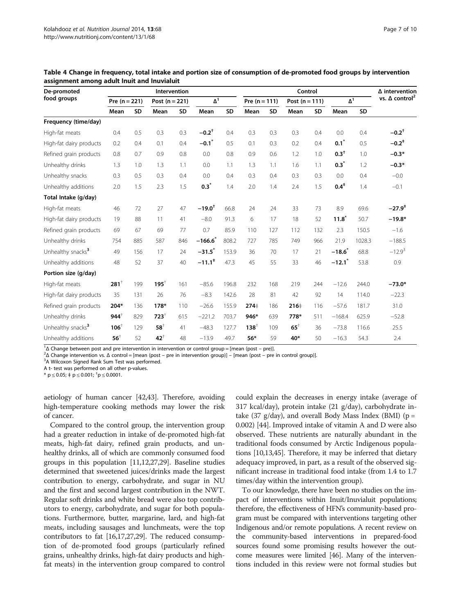| De-promoted<br>food groups    | Intervention    |           |                  |           |                      |           |                 | Control   |                  |     |                        |        | $\Delta$ intervention             |
|-------------------------------|-----------------|-----------|------------------|-----------|----------------------|-----------|-----------------|-----------|------------------|-----|------------------------|--------|-----------------------------------|
|                               | Pre $(n = 221)$ |           | Post $(n = 221)$ |           | $\Delta^1$           |           | Pre $(n = 111)$ |           | Post $(n = 111)$ |     | $\overline{\Lambda}^1$ |        | vs. $\Delta$ control <sup>2</sup> |
|                               | Mean            | <b>SD</b> | Mean             | <b>SD</b> | Mean                 | <b>SD</b> | Mean            | <b>SD</b> | Mean             | SD  | Mean                   | SD     |                                   |
| Frequency (time/day)          |                 |           |                  |           |                      |           |                 |           |                  |     |                        |        |                                   |
| High-fat meats                | 0.4             | 0.5       | 0.3              | 0.3       | $-0.2$ <sup>+</sup>  | 0.4       | 0.3             | 0.3       | 0.3              | 0.4 | 0.0                    | 0.4    | $-0.2$ <sup>+</sup>               |
| High-fat dairy products       | 0.2             | 0.4       | 0.1              | 0.4       | $-0.1$               | 0.5       | 0.1             | 0.3       | 0.2              | 0.4 | $0.1^*$                | 0.5    | $-0.2$ <sup>*</sup>               |
| Refined grain products        | 0.8             | 0.7       | 0.9              | 0.8       | 0.0                  | 0.8       | 0.9             | 0.6       | 1.2              | 1.0 | $0.3^{+}$              | 1.0    | $-0.3*$                           |
| Unhealthy drinks              | 1.3             | 1.0       | 1.3              | 1.1       | 0.0                  | 1.1       | 1.3             | 1.1       | 1.6              | 1.1 | $0.3*$                 | 1.2    | $-0.3*$                           |
| Unhealthy snacks              | 0.3             | 0.5       | 0.3              | 0.4       | 0.0                  | 0.4       | 0.3             | 0.4       | 0.3              | 0.3 | 0.0                    | 0.4    | $-0.0$                            |
| Unhealthy additions           | 2.0             | 1.5       | 2.3              | 1.5       | $0.3^*$              | 1.4       | 2.0             | 1.4       | 2.4              | 1.5 | $0.4^{*}$              | 1.4    | $-0.1$                            |
| Total Intake (g/day)          |                 |           |                  |           |                      |           |                 |           |                  |     |                        |        |                                   |
| High-fat meats                | 46              | 72        | 27               | 47        | $-19.0$ <sup>t</sup> | 66.8      | 24              | 24        | 33               | 73  | 8.9                    | 69.6   | $-27.9^+$                         |
| High-fat dairy products       | 19              | 88        | 11               | 41        | $-8.0$               | 91.3      | 6               | 17        | 18               | 52  | $11.8^*$               | 50.7   | $-19.8*$                          |
| Refined grain products        | 69              | 67        | 69               | 77        | 0.7                  | 85.9      | 110             | 127       | 112              | 132 | 2.3                    | 150.5  | $-1.6$                            |
| Unhealthy drinks              | 754             | 885       | 587              | 846       | $-166.6$             | 808.2     | 727             | 785       | 749              | 966 | 21.9                   | 1028.3 | $-188.5$                          |
| Unhealthy snacks <sup>3</sup> | 49              | 156       | 17               | 24        | $-31.5$              | 153.9     | 36              | 70        | 17               | 21  | $-18.6^{*}$            | 68.8   | $-12.9^{3}$                       |
| Unhealthy additions           | 48              | 52        | 37               | 40        | $-11.1$ <sup>*</sup> | 47.3      | 45              | 55        | 33               | 46  | $-12.1$                | 53.8   | 0.9                               |
| Portion size (g/day)          |                 |           |                  |           |                      |           |                 |           |                  |     |                        |        |                                   |
| High-fat meats                | $281^+$         | 199       | $195^+$          | 161       | $-85.6$              | 196.8     | 232             | 168       | 219              | 244 | $-12.6$                | 244.0  | $-73.0*$                          |
| High-fat dairy products       | 35              | 131       | 26               | 76        | $-8.3$               | 142.6     | 28              | 81        | 42               | 92  | 14                     | 114.0  | $-22.3$                           |
| Refined grain products        | $204*$          | 136       | 178*             | 110       | $-26.6$              | 155.9     | 274‡            | 186       | 216‡             | 116 | $-57.6$                | 181.7  | 31.0                              |
| Unhealthy drinks              | $944^{\dagger}$ | 829       | $723^{+}$        | 615       | $-221.2$             | 703.7     | 946*            | 639       | 778*             | 511 | $-168.4$               | 625.9  | $-52.8$                           |
| Unhealthy snacks <sup>3</sup> | $106^{\dagger}$ | 129       | $58^+$           | 41        | $-48.3$              | 127.7     | $138^{+}$       | 109       | $65^+$           | 36  | $-73.8$                | 116.6  | 25.5                              |
| Unhealthy additions           | $56^{\dagger}$  | 52        | $42^+$           | 48        | $-13.9$              | 49.7      | $56*$           | 59        | 40*              | 50  | $-16.3$                | 54.3   | 2.4                               |

<span id="page-6-0"></span>Table 4 Change in frequency, total intake and portion size of consumption of de-promoted food groups by intervention assignment among adult Inuit and Inuvialuit

<sup>1</sup>Δ Change between post and pre intervention in intervention or control group = [mean (post – pre)].<br><sup>2</sup>Δ Change intervention ys Δ control = [mean (post – pre in intervention group)] = [mean (post – pre

 ${}^2$ Δ Change intervention vs. Δ control = [mean (post – pre in intervention group)] – [mean (post – pre in control group)].

<sup>3</sup>A Wilcoxon Signed Rank Sum Test was performed.

A t- test was performed on all other p-values.

\*  $p \le 0.05$ ;  $\pm p \le 0.001$ ;  $\pm p \le 0.0001$ .

aetiology of human cancer [[42,43\]](#page-9-0). Therefore, avoiding high-temperature cooking methods may lower the risk of cancer.

Compared to the control group, the intervention group had a greater reduction in intake of de-promoted high-fat meats, high-fat dairy, refined grain products, and unhealthy drinks, all of which are commonly consumed food groups in this population [\[11,12](#page-8-0)[,27,29\]](#page-9-0). Baseline studies determined that sweetened juices/drinks made the largest contribution to energy, carbohydrate, and sugar in NU and the first and second largest contribution in the NWT. Regular soft drinks and white bread were also top contributors to energy, carbohydrate, and sugar for both populations. Furthermore, butter, margarine, lard, and high-fat meats, including sausages and lunchmeats, were the top contributors to fat [\[16,17](#page-8-0)[,27,29\]](#page-9-0). The reduced consumption of de-promoted food groups (particularly refined grains, unhealthy drinks, high-fat dairy products and highfat meats) in the intervention group compared to control could explain the decreases in energy intake (average of 317 kcal/day), protein intake (21 g/day), carbohydrate intake (37 g/day), and overall Body Mass Index (BMI) ( $p =$ 0.002) [[44\]](#page-9-0). Improved intake of vitamin A and D were also observed. These nutrients are naturally abundant in the traditional foods consumed by Arctic Indigenous populations [[10,13,](#page-8-0)[45\]](#page-9-0). Therefore, it may be inferred that dietary adequacy improved, in part, as a result of the observed significant increase in traditional food intake (from 1.4 to 1.7 times/day within the intervention group).

To our knowledge, there have been no studies on the impact of interventions within Inuit/Inuvialuit populations; therefore, the effectiveness of HFN's community-based program must be compared with interventions targeting other Indigenous and/or remote populations. A recent review on the community-based interventions in prepared-food sources found some promising results however the outcome measures were limited [[46](#page-9-0)]. Many of the interventions included in this review were not formal studies but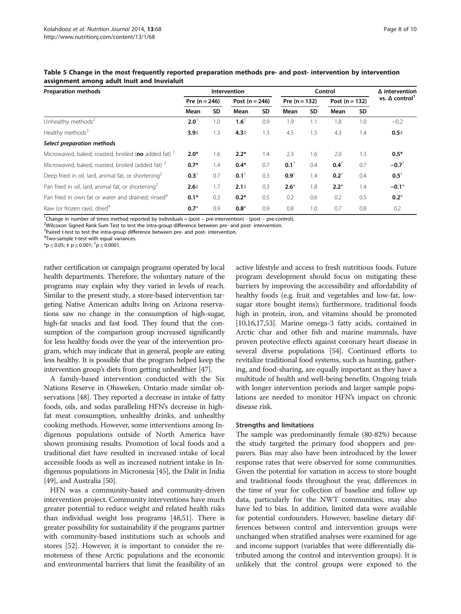| <b>Preparation methods</b>                                      | Intervention    |           |                    |     |                 | Control | $\Delta$ intervention |           |                      |
|-----------------------------------------------------------------|-----------------|-----------|--------------------|-----|-----------------|---------|-----------------------|-----------|----------------------|
|                                                                 | Pre $(n = 246)$ |           | Post ( $n = 246$ ) |     | Pre $(n = 132)$ |         | Post $(n = 132)$      |           | vs. $\Delta$ control |
|                                                                 | Mean            | <b>SD</b> | Mean               | SD  | Mean            | SD      | Mean                  | <b>SD</b> |                      |
| Unhealthy methods <sup>2</sup>                                  | $2.0^{\dagger}$ | 1.0       | $1.6^{\dagger}$    | 0.9 | 1.9             | 1.1     | 1.8                   | 1.0       | $-0.2$               |
| Healthy methods <sup>3</sup>                                    | $3.9+$          | 1.3       | 4.3 <sup>‡</sup>   | 1.3 | 4.5             | 1.5     | 4.3                   | 1.4       | 0.5 <sup>‡</sup>     |
| Select preparation methods                                      |                 |           |                    |     |                 |         |                       |           |                      |
| Microwaved, baked, roasted, broiled (no added fat) <sup>2</sup> | $2.0*$          | 1.6       | $2.2*$             | 1.4 | 2.3             | 1.6     | 2.0                   | 1.3       | $0.5*$               |
| Microwaved, baked, roasted, broiled (added fat) <sup>2</sup>    | $0.7*$          | 1.4       | $0.4*$             | 0.7 | $0.1^+$         | 0.4     | $0.4^{\dagger}$       | 0.7       | $-0.7$ <sup>+</sup>  |
| Deep fried in oil, lard, animal fat, or shortening <sup>2</sup> | $0.3^{\dagger}$ | 0.7       | $0.1^+$            | 0.3 | $0.9^{\dagger}$ | 1.4     | $0.2^+$               | 0.4       | $0.5^{\dagger}$      |
| Pan fried in oil, lard, animal fat, or shortening <sup>2</sup>  | $2.6+$          | 1.7       | 2.1 <sup>‡</sup>   | 0.3 | $2.6*$          | 1.8     | $2.2*$                | 1.4       | $-0.1*$              |
| Pan fried in own fat or water and drained; rinsed <sup>4</sup>  | $0.1*$          | 0.3       | $0.2*$             | 0.5 | 0.2             | 0.6     | 0.2                   | 0.5       | $0.2*$               |
| Raw (or frozen raw), dried <sup>4</sup>                         | $0.7*$          | 0.9       | $0.8*$             | 0.9 | 0.8             | 1.0     | 0.7                   | 0.8       | 0.2                  |

#### <span id="page-7-0"></span>Table 5 Change in the most frequently reported preparation methods pre- and post- intervention by intervention assignment among adult Inuit and Inuvialuit

<sup>1</sup>Change in number of times method reported by individuals = (post – pre-intervention) - (post – pre-control).<br><sup>2</sup>Wilcoxon Signed Rank Sum Test to test the intra-group difference between pre- and post-intervention.

<sup>2</sup>Wilcoxon Signed Rank Sum Test to test the intra-group difference between pre- and post- intervention.

<sup>3</sup>Paired t-test to test the intra-group difference between pre- and post- intervention.

<sup>4</sup>Two-sample t-test with equal variances.

 $*$ p  $\leq$  0.05; ‡ p  $\leq$  0.001;  $^{\dagger}$ p  $\leq$  0.0001.

rather certification or campaign programs operated by local health departments. Therefore, the voluntary nature of the programs may explain why they varied in levels of reach. Similar to the present study, a store-based intervention targeting Native American adults living on Arizona reservations saw no change in the consumption of high-sugar, high-fat snacks and fast food. They found that the consumption of the comparison group increased significantly for less healthy foods over the year of the intervention program, which may indicate that in general, people are eating less healthy. It is possible that the program helped keep the intervention group's diets from getting unhealthier [[47](#page-9-0)].

A family-based intervention conducted with the Six Nations Reserve in Ohsweken, Ontario made similar observations [[48](#page-9-0)]. They reported a decrease in intake of fatty foods, oils, and sodas paralleling HFN's decrease in highfat meat consumption, unhealthy drinks, and unhealthy cooking methods. However, some interventions among Indigenous populations outside of North America have shown promising results. Promotion of local foods and a traditional diet have resulted in increased intake of local accessible foods as well as increased nutrient intake in Indigenous populations in Micronesia [\[45\]](#page-9-0), the Dalit in India [[49](#page-9-0)], and Australia [\[50\]](#page-9-0).

HFN was a community-based and community-driven intervention project. Community interventions have much greater potential to reduce weight and related health risks than individual weight loss programs [\[48,51\]](#page-9-0). There is greater possibility for sustainability if the programs partner with community-based institutions such as schools and stores [\[52\]](#page-9-0). However, it is important to consider the remoteness of these Arctic populations and the economic and environmental barriers that limit the feasibility of an

active lifestyle and access to fresh nutritious foods. Future program development should focus on mitigating these barriers by improving the accessibility and affordability of healthy foods (e.g. fruit and vegetables and low-fat, lowsugar store bought items); furthermore, traditional foods high in protein, iron, and vitamins should be promoted [[10,16,17,](#page-8-0)[53](#page-9-0)]. Marine omega-3 fatty acids, contained in Arctic char and other fish and marine mammals, have proven protective effects against coronary heart disease in several diverse populations [[54](#page-9-0)]. Continued efforts to revitalize traditional food systems, such as hunting, gathering, and food-sharing, are equally important as they have a multitude of health and well-being benefits. Ongoing trials with longer intervention periods and larger sample populations are needed to monitor HFN's impact on chronic disease risk.

#### Strengths and limitations

The sample was predominantly female (80-82%) because the study targeted the primary food shoppers and preparers. Bias may also have been introduced by the lower response rates that were observed for some communities. Given the potential for variation in access to store bought and traditional foods throughout the year, differences in the time of year for collection of baseline and follow up data, particularly for the NWT communities, may also have led to bias. In addition, limited data were available for potential confounders. However, baseline dietary differences between control and intervention groups were unchanged when stratified analyses were examined for age and income support (variables that were differentially distributed among the control and intervention groups). It is unlikely that the control groups were exposed to the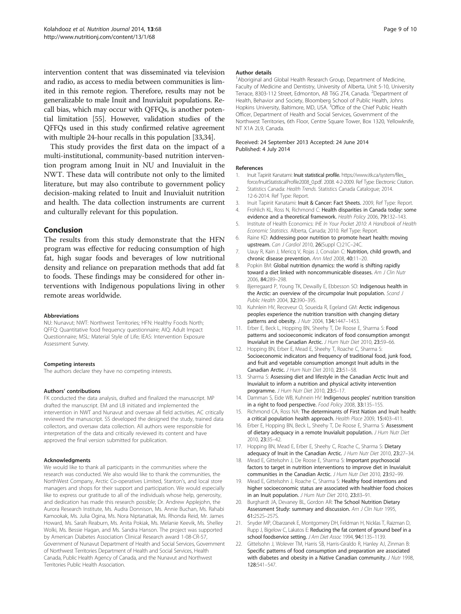<span id="page-8-0"></span>intervention content that was disseminated via television and radio, as access to media between communities is limited in this remote region. Therefore, results may not be generalizable to male Inuit and Inuvialuit populations. Recall bias, which may occur with QFFQs, is another potential limitation [\[55](#page-9-0)]. However, validation studies of the QFFQs used in this study confirmed relative agreement with multiple 24-hour recalls in this population [\[33,34\]](#page-9-0).

This study provides the first data on the impact of a multi-institutional, community-based nutrition intervention program among Inuit in NU and Inuvialuit in the NWT. These data will contribute not only to the limited literature, but may also contribute to government policy decision-making related to Inuit and Inuvialuit nutrition and health. The data collection instruments are current and culturally relevant for this population.

#### Conclusion

The results from this study demonstrate that the HFN program was effective for reducing consumption of high fat, high sugar foods and beverages of low nutritional density and reliance on preparation methods that add fat to foods. These findings may be considered for other interventions with Indigenous populations living in other remote areas worldwide.

#### Abbreviations

NU: Nunavut; NWT: Northwest Territories; HFN: Healthy Foods North; QFFQ: Quantitative food frequency questionnaire; AIQ: Adult Impact Questionnaire; MSL: Material Style of Life; IEAS: Intervention Exposure Assessment Survey.

#### Competing interests

The authors declare they have no competing interests.

#### Authors' contributions

FK conducted the data analysis, drafted and finalized the manuscript. MP drafted the manuscript. EM and LB initiated and implemented the intervention in NWT and Nunavut and oversaw all field activities. AC critically reviewed the manuscript. SS developed the designed the study, trained data collectors, and oversaw data collection. All authors were responsible for interpretation of the data and critically reviewed its content and have approved the final version submitted for publication.

#### Acknowledgments

We would like to thank all participants in the communities where the research was conducted. We also would like to thank the communities, the NorthWest Company, Arctic Co-operatives Limited, Stanton's, and local store managers and shops for their support and participation. We would especially like to express our gratitude to all of the individuals whose help, generosity, and dedication has made this research possible; Dr. Andrew Applejohn, the Aurora Research Institute, Ms. Audra Donnison, Ms. Annie Buchan, Ms. Rahabi Kamookak, Ms. Julia Ogina, Ms. Nora Niptanatiak, Ms. Rhonda Reid, Mr. James Howard, Ms. Sarah Reaburn, Ms. Anita Pokiak, Ms. Melanie Keevik, Ms. Shelley Wolki, Ms. Bessie Hagan, and Ms. Sandra Hanson. The project was supported by American Diabetes Association Clinical Research award 1-08-CR-57, Government of Nunavut Department of Health and Social Services, Government of Northwest Territories Department of Health and Social Services, Health Canada, Public Health Agency of Canada, and the Nunavut and Northwest Territories Public Health Association.

#### Author details

<sup>1</sup> Aboriginal and Global Health Research Group, Department of Medicine, Faculty of Medicine and Dentistry, University of Alberta, Unit 5-10, University Terrace, 8303-112 Street, Edmonton, AB T6G 2T4, Canada. <sup>2</sup>Department of Health, Behavior and Society, Bloomberg School of Public Health, Johns Hopkins University, Baltimore, MD, USA.<sup>3</sup>Office of the Chief Public Health Officer, Department of Health and Social Services, Government of the Northwest Territories, 6th Floor, Centre Square Tower, Box 1320, Yellowknife, NT X1A 2L9, Canada.

#### Received: 24 September 2013 Accepted: 24 June 2014 Published: 4 July 2014

#### References

- 1. Inuit Tapiriit Kanatami: Inuit statistical profile. [https://www.itk.ca/system/files\\_](https://www.itk.ca/system/files_force/InuitStatisticalProfile2008_0.pdf) [force/InuitStatisticalProfile2008\\_0.pdf.](https://www.itk.ca/system/files_force/InuitStatisticalProfile2008_0.pdf) 2008. 4-2-2009. Ref Type: Electronic Citation.
- 2. Statistics Canada: Health Trends. Statistics Canada Catalogue; 2014. 12-6-2014. Ref Type: Report.
- 3. Inuit Tapiriit Kanatami: Inuit & Cancer: Fact Sheets. 2009, Ref Type: Report. 4. Frohlich KL, Ross N, Richmond C: Health disparities in Canada today: some
- evidence and a theoretical framework. Health Policy 2006, 79:132–143. 5. Institute of Health Economics: IHE In Your Pocket 2010: A Handbook of Health
- Economic Statistics. Alberta, Canada; 2010. Ref Type: Report.
- 6. Raine KD: Addressing poor nutrition to promote heart health: moving upstream. Can J Cardiol 2010, 26(Suppl C):21C–24C.
- 7. Uauy R, Kain J, Mericq V, Rojas J, Corvalan C: Nutrition, child growth, and chronic disease prevention. Ann Med 2008, 40:11–20.
- 8. Popkin BM: Global nutrition dynamics: the world is shifting rapidly toward a diet linked with noncommunicable diseases. Am J Clin Nutr 2006, 84:289–298.
- 9. Bjerregaard P, Young TK, Dewailly E, Ebbesson SO: Indigenous health in the Arctic: an overview of the circumpolar Inuit population. Scand J Public Health 2004, 32:390–395.
- 10. Kuhnlein HV, Receveur O, Soueida R, Egeland GM: Arctic indigenous peoples experience the nutrition transition with changing dietary patterns and obesity. J Nutr 2004, 134:1447-1453.
- 11. Erber E, Beck L, Hopping BN, Sheehy T, De Roose E, Sharma S: Food patterns and socioeconomic indicators of food consumption amongst Inuvialuit in the Canadian Arctic. J Hum Nutr Diet 2010, 23:59–66.
- 12. Hopping BN, Erber E, Mead E, Sheehy T, Roache C, Sharma S: Socioeconomic indicators and frequency of traditional food, junk food, and fruit and vegetable consumption amongst Inuit adults in the Canadian Arctic. J Hum Nutr Diet 2010, 23:51–58.
- 13. Sharma S: Assessing diet and lifestyle in the Canadian Arctic Inuit and Inuvialuit to inform a nutrition and physical activity intervention programme. J Hum Nutr Diet 2010, 23:5–17.
- 14. Damman S, Eide WB, Kuhnein HV: Indigenous peoples' nutrition transition in a right to food perspective. Food Policy 2008, 33:135–155.
- 15. Richmond CA, Ross NA: The determinants of First Nation and Inuit health: a critical population health approach. Health Place 2009, 15:403–411.
- 16. Erber E, Hopping BN, Beck L, Sheehy T, De Roose E, Sharma S: Assessment of dietary adequacy in a remote Inuvialuit population. J Hum Nutr Diet 2010, 23:35–42.
- 17. Hopping BN, Mead E, Erber E, Sheehy C, Roache C, Sharma S: Dietary adequacy of Inuit in the Canadian Arctic. J Hum Nutr Diet 2010, 23:27-34.
- 18. Mead E, Gittelsohn J, De Roose E, Sharma S: Important psychosocial factors to target in nutrition interventions to improve diet in Inuvialuit communities in the Canadian Arctic. J Hum Nutr Diet 2010, 23:92–99.
- 19. Mead E, Gittelsohn J, Roache C, Sharma S: Healthy food intentions and higher socioeconomic status are associated with healthier food choices in an Inuit population. J Hum Nutr Diet 2010, 23:83-91.
- 20. Burghardt JA, Devaney BL, Gordon AR: The School Nutrition Dietary Assessment Study: summary and discussion. Am J Clin Nutr 1995, 61:252S–257S.
- 21. Snyder MP, Obarzanek E, Montgomery DH, Feldman H, Nicklas T, Raizman D, Rupp J, Bigelow C, Lakatos E: Reducing the fat content of ground beef in a school foodservice setting. J Am Diet Assoc 1994, 94:1135–1139.
- 22. Gittelsohn J, Wolever TM, Harris SB, Harris-Giraldo R, Hanley AJ, Zinman B: Specific patterns of food consumption and preparation are associated with diabetes and obesity in a Native Canadian community. J Nutr 1998, 128:541–547.